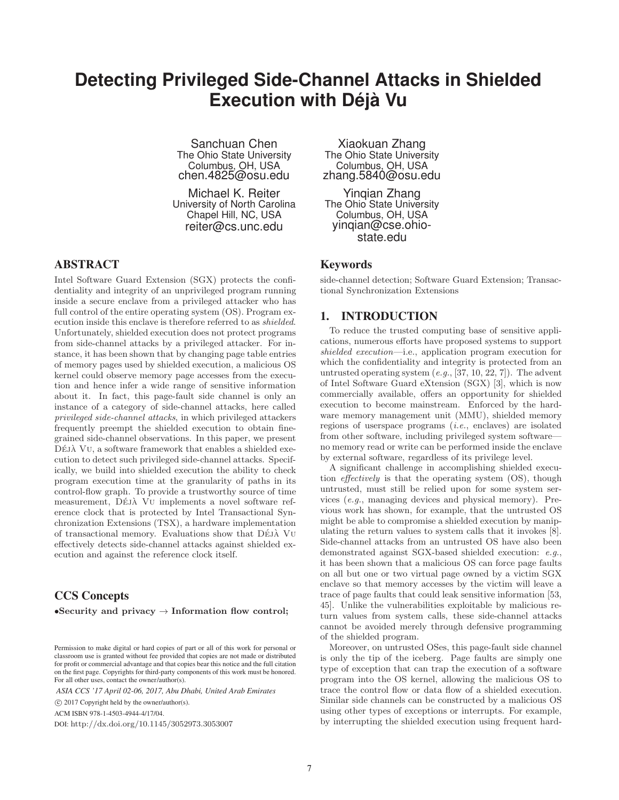# **Detecting Privileged Side-Channel Attacks in Shielded Execution with Déjà Vu**

Sanchuan Chen The Ohio State University Columbus, OH, USA chen.4825@osu.edu

Michael K. Reiter University of North Carolina Chapel Hill, NC, USA reiter@cs.unc.edu

## ABSTRACT

Intel Software Guard Extension (SGX) protects the confidentiality and integrity of an unprivileged program running inside a secure enclave from a privileged attacker who has full control of the entire operating system (OS). Program execution inside this enclave is therefore referred to as shielded. Unfortunately, shielded execution does not protect programs from side-channel attacks by a privileged attacker. For instance, it has been shown that by changing page table entries of memory pages used by shielded execution, a malicious OS kernel could observe memory page accesses from the execution and hence infer a wide range of sensitive information about it. In fact, this page-fault side channel is only an instance of a category of side-channel attacks, here called privileged side-channel attacks, in which privileged attackers frequently preempt the shielded execution to obtain finegrained side-channel observations. In this paper, we present DÉJÀ VU, a software framework that enables a shielded execution to detect such privileged side-channel attacks. Specifically, we build into shielded execution the ability to check program execution time at the granularity of paths in its control-flow graph. To provide a trustworthy source of time measurement, DÉJÀ VU implements a novel software reference clock that is protected by Intel Transactional Synchronization Extensions (TSX), a hardware implementation of transactional memory. Evaluations show that DÉJÀ VU effectively detects side-channel attacks against shielded execution and against the reference clock itself.

## CCS Concepts

•Security and privacy  $\rightarrow$  Information flow control;

*ASIA CCS '17 April 02-06, 2017, Abu Dhabi, United Arab Emirates*

c 2017 Copyright held by the owner/author(s).

ACM ISBN 978-1-4503-4944-4/17/04.

DOI: http://dx.doi.org/10.1145/3052973.3053007

Xiaokuan Zhang The Ohio State University Columbus, OH, USA zhang.5840@osu.edu

Yinqian Zhang The Ohio State University Columbus, OH, USA yinqian@cse.ohiostate.edu

## Keywords

side-channel detection; Software Guard Extension; Transactional Synchronization Extensions

## 1. INTRODUCTION

To reduce the trusted computing base of sensitive applications, numerous efforts have proposed systems to support shielded execution—i.e., application program execution for which the confidentiality and integrity is protected from an untrusted operating system  $(e.g., [37, 10, 22, 7])$ . The advent of Intel Software Guard eXtension (SGX) [3], which is now commercially available, offers an opportunity for shielded execution to become mainstream. Enforced by the hardware memory management unit (MMU), shielded memory regions of userspace programs (i.e., enclaves) are isolated from other software, including privileged system software no memory read or write can be performed inside the enclave by external software, regardless of its privilege level.

A significant challenge in accomplishing shielded execution effectively is that the operating system (OS), though untrusted, must still be relied upon for some system services (e.g., managing devices and physical memory). Previous work has shown, for example, that the untrusted OS might be able to compromise a shielded execution by manipulating the return values to system calls that it invokes [8]. Side-channel attacks from an untrusted OS have also been demonstrated against SGX-based shielded execution: e.g., it has been shown that a malicious OS can force page faults on all but one or two virtual page owned by a victim SGX enclave so that memory accesses by the victim will leave a trace of page faults that could leak sensitive information [53, 45]. Unlike the vulnerabilities exploitable by malicious return values from system calls, these side-channel attacks cannot be avoided merely through defensive programming of the shielded program.

Moreover, on untrusted OSes, this page-fault side channel is only the tip of the iceberg. Page faults are simply one type of exception that can trap the execution of a software program into the OS kernel, allowing the malicious OS to trace the control flow or data flow of a shielded execution. Similar side channels can be constructed by a malicious OS using other types of exceptions or interrupts. For example, by interrupting the shielded execution using frequent hard-

Permission to make digital or hard copies of part or all of this work for personal or classroom use is granted without fee provided that copies are not made or distributed for profit or commercial advantage and that copies bear this notice and the full citation on the first page. Copyrights for third-party components of this work must be honored. For all other uses, contact the owner/author(s).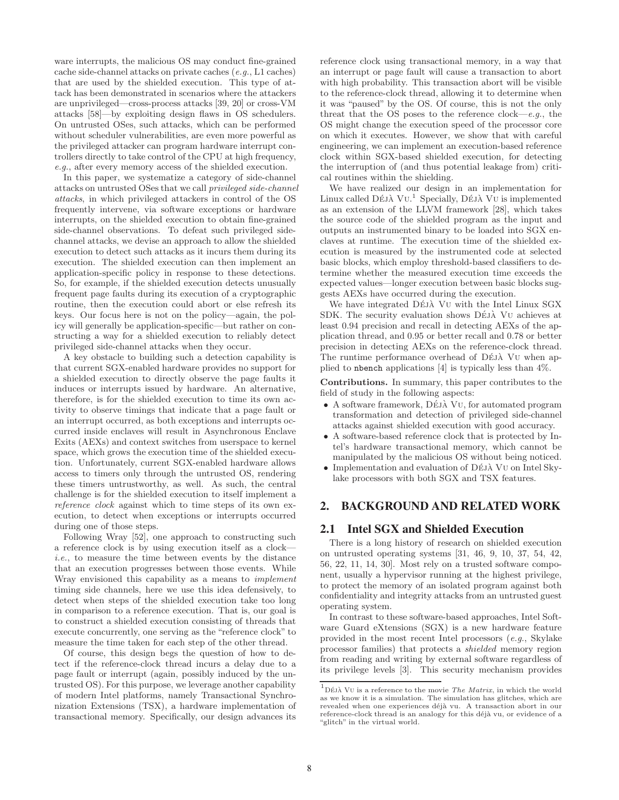ware interrupts, the malicious OS may conduct fine-grained cache side-channel attacks on private caches (e.g., L1 caches) that are used by the shielded execution. This type of attack has been demonstrated in scenarios where the attackers are unprivileged—cross-process attacks [39, 20] or cross-VM attacks [58]—by exploiting design flaws in OS schedulers. On untrusted OSes, such attacks, which can be performed without scheduler vulnerabilities, are even more powerful as the privileged attacker can program hardware interrupt controllers directly to take control of the CPU at high frequency, e.g., after every memory access of the shielded execution.

In this paper, we systematize a category of side-channel attacks on untrusted OSes that we call privileged side-channel attacks, in which privileged attackers in control of the OS frequently intervene, via software exceptions or hardware interrupts, on the shielded execution to obtain fine-grained side-channel observations. To defeat such privileged sidechannel attacks, we devise an approach to allow the shielded execution to detect such attacks as it incurs them during its execution. The shielded execution can then implement an application-specific policy in response to these detections. So, for example, if the shielded execution detects unusually frequent page faults during its execution of a cryptographic routine, then the execution could abort or else refresh its keys. Our focus here is not on the policy—again, the policy will generally be application-specific—but rather on constructing a way for a shielded execution to reliably detect privileged side-channel attacks when they occur.

A key obstacle to building such a detection capability is that current SGX-enabled hardware provides no support for a shielded execution to directly observe the page faults it induces or interrupts issued by hardware. An alternative, therefore, is for the shielded execution to time its own activity to observe timings that indicate that a page fault or an interrupt occurred, as both exceptions and interrupts occurred inside enclaves will result in Asynchronous Enclave Exits (AEXs) and context switches from userspace to kernel space, which grows the execution time of the shielded execution. Unfortunately, current SGX-enabled hardware allows access to timers only through the untrusted OS, rendering these timers untrustworthy, as well. As such, the central challenge is for the shielded execution to itself implement a reference clock against which to time steps of its own execution, to detect when exceptions or interrupts occurred during one of those steps.

Following Wray [52], one approach to constructing such a reference clock is by using execution itself as a clock i.e., to measure the time between events by the distance that an execution progresses between those events. While Wray envisioned this capability as a means to implement timing side channels, here we use this idea defensively, to detect when steps of the shielded execution take too long in comparison to a reference execution. That is, our goal is to construct a shielded execution consisting of threads that execute concurrently, one serving as the "reference clock" to measure the time taken for each step of the other thread.

Of course, this design begs the question of how to detect if the reference-clock thread incurs a delay due to a page fault or interrupt (again, possibly induced by the untrusted OS). For this purpose, we leverage another capability of modern Intel platforms, namely Transactional Synchronization Extensions (TSX), a hardware implementation of transactional memory. Specifically, our design advances its reference clock using transactional memory, in a way that an interrupt or page fault will cause a transaction to abort with high probability. This transaction abort will be visible to the reference-clock thread, allowing it to determine when it was "paused" by the OS. Of course, this is not the only threat that the OS poses to the reference clock—e.g., the OS might change the execution speed of the processor core on which it executes. However, we show that with careful engineering, we can implement an execution-based reference clock within SGX-based shielded execution, for detecting the interruption of (and thus potential leakage from) critical routines within the shielding.

We have realized our design in an implementation for Linux called DÉJÀ VU.<sup>1</sup> Specially, DÉJÀ VU is implemented as an extension of the LLVM framework [28], which takes the source code of the shielded program as the input and outputs an instrumented binary to be loaded into SGX enclaves at runtime. The execution time of the shielded execution is measured by the instrumented code at selected basic blocks, which employ threshold-based classifiers to determine whether the measured execution time exceeds the expected values—longer execution between basic blocks suggests AEXs have occurred during the execution.

We have integrated DÉJÀ VU with the Intel Linux SGX SDK. The security evaluation shows DÉJA VU achieves at least 0.94 precision and recall in detecting AEXs of the application thread, and 0.95 or better recall and 0.78 or better precision in detecting AEXs on the reference-clock thread. The runtime performance overhead of DÉJA VU when applied to nbench applications [4] is typically less than 4%.

Contributions. In summary, this paper contributes to the field of study in the following aspects:

- A software framework,  $D\hat{E}$ j $\lambda$  Vu, for automated program transformation and detection of privileged side-channel attacks against shielded execution with good accuracy.
- A software-based reference clock that is protected by Intel's hardware transactional memory, which cannot be manipulated by the malicious OS without being noticed.
- Implementation and evaluation of Déjà Vu on Intel Skylake processors with both SGX and TSX features.

# 2. BACKGROUND AND RELATED WORK

### 2.1 Intel SGX and Shielded Execution

There is a long history of research on shielded execution on untrusted operating systems [31, 46, 9, 10, 37, 54, 42, 56, 22, 11, 14, 30]. Most rely on a trusted software component, usually a hypervisor running at the highest privilege, to protect the memory of an isolated program against both confidentiality and integrity attacks from an untrusted guest operating system.

In contrast to these software-based approaches, Intel Software Guard eXtensions (SGX) is a new hardware feature provided in the most recent Intel processors (e.g., Skylake processor families) that protects a shielded memory region from reading and writing by external software regardless of its privilege levels [3]. This security mechanism provides

 $^1\mathrm{D\'e}$ ja Vu is a reference to the movie *The Matrix*, in which the world as we know it is a simulation. The simulation has glitches, which are revealed when one experiences déjà vu. A transaction abort in our reference-clock thread is an analogy for this déjà vu, or evidence of a "glitch" in the virtual world.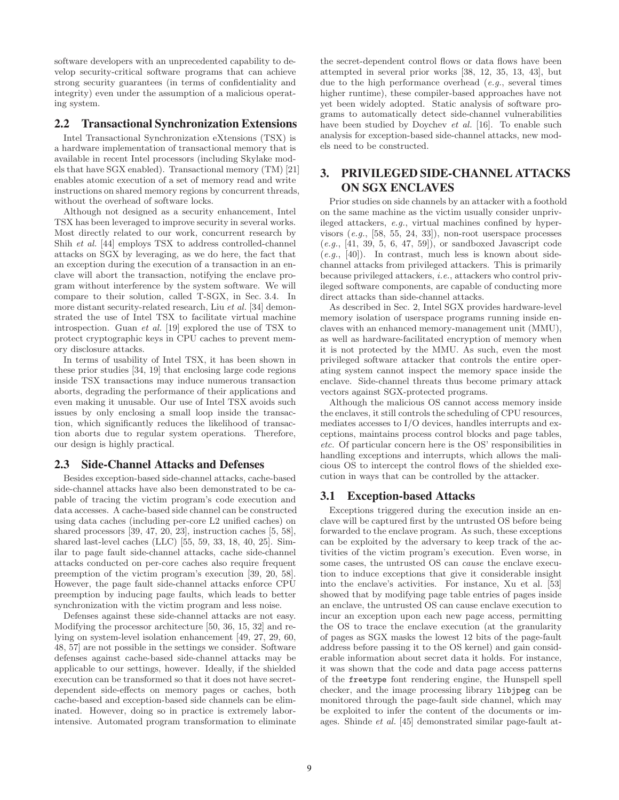software developers with an unprecedented capability to develop security-critical software programs that can achieve strong security guarantees (in terms of confidentiality and integrity) even under the assumption of a malicious operating system.

#### 2.2 Transactional Synchronization Extensions

Intel Transactional Synchronization eXtensions (TSX) is a hardware implementation of transactional memory that is available in recent Intel processors (including Skylake models that have SGX enabled). Transactional memory (TM) [21] enables atomic execution of a set of memory read and write instructions on shared memory regions by concurrent threads, without the overhead of software locks.

Although not designed as a security enhancement, Intel TSX has been leveraged to improve security in several works. Most directly related to our work, concurrent research by Shih et al. [44] employs TSX to address controlled-channel attacks on SGX by leveraging, as we do here, the fact that an exception during the execution of a transaction in an enclave will abort the transaction, notifying the enclave program without interference by the system software. We will compare to their solution, called T-SGX, in Sec. 3.4. In more distant security-related research, Liu et al. [34] demonstrated the use of Intel TSX to facilitate virtual machine introspection. Guan et al. [19] explored the use of TSX to protect cryptographic keys in CPU caches to prevent memory disclosure attacks.

In terms of usability of Intel TSX, it has been shown in these prior studies [34, 19] that enclosing large code regions inside TSX transactions may induce numerous transaction aborts, degrading the performance of their applications and even making it unusable. Our use of Intel TSX avoids such issues by only enclosing a small loop inside the transaction, which significantly reduces the likelihood of transaction aborts due to regular system operations. Therefore, our design is highly practical.

## 2.3 Side-Channel Attacks and Defenses

Besides exception-based side-channel attacks, cache-based side-channel attacks have also been demonstrated to be capable of tracing the victim program's code execution and data accesses. A cache-based side channel can be constructed using data caches (including per-core L2 unified caches) on shared processors [39, 47, 20, 23], instruction caches [5, 58], shared last-level caches (LLC) [55, 59, 33, 18, 40, 25]. Similar to page fault side-channel attacks, cache side-channel attacks conducted on per-core caches also require frequent preemption of the victim program's execution [39, 20, 58]. However, the page fault side-channel attacks enforce CPU preemption by inducing page faults, which leads to better synchronization with the victim program and less noise.

Defenses against these side-channel attacks are not easy. Modifying the processor architecture [50, 36, 15, 32] and relying on system-level isolation enhancement [49, 27, 29, 60, 48, 57] are not possible in the settings we consider. Software defenses against cache-based side-channel attacks may be applicable to our settings, however. Ideally, if the shielded execution can be transformed so that it does not have secretdependent side-effects on memory pages or caches, both cache-based and exception-based side channels can be eliminated. However, doing so in practice is extremely laborintensive. Automated program transformation to eliminate the secret-dependent control flows or data flows have been attempted in several prior works [38, 12, 35, 13, 43], but due to the high performance overhead (e.g., several times higher runtime), these compiler-based approaches have not yet been widely adopted. Static analysis of software programs to automatically detect side-channel vulnerabilities have been studied by Doychev *et al.* [16]. To enable such analysis for exception-based side-channel attacks, new models need to be constructed.

# 3. PRIVILEGED SIDE-CHANNEL ATTACKS ON SGX ENCLAVES

Prior studies on side channels by an attacker with a foothold on the same machine as the victim usually consider unprivileged attackers, e.g., virtual machines confined by hypervisors  $(e.g., [58, 55, 24, 33]),$  non-root userspace processes (e.g., [41, 39, 5, 6, 47, 59]), or sandboxed Javascript code  $(e.g., [40])$ . In contrast, much less is known about sidechannel attacks from privileged attackers. This is primarily because privileged attackers, i.e., attackers who control privileged software components, are capable of conducting more direct attacks than side-channel attacks.

As described in Sec. 2, Intel SGX provides hardware-level memory isolation of userspace programs running inside enclaves with an enhanced memory-management unit (MMU), as well as hardware-facilitated encryption of memory when it is not protected by the MMU. As such, even the most privileged software attacker that controls the entire operating system cannot inspect the memory space inside the enclave. Side-channel threats thus become primary attack vectors against SGX-protected programs.

Although the malicious OS cannot access memory inside the enclaves, it still controls the scheduling of CPU resources, mediates accesses to I/O devices, handles interrupts and exceptions, maintains process control blocks and page tables, etc. Of particular concern here is the OS' responsibilities in handling exceptions and interrupts, which allows the malicious OS to intercept the control flows of the shielded execution in ways that can be controlled by the attacker.

#### 3.1 Exception-based Attacks

Exceptions triggered during the execution inside an enclave will be captured first by the untrusted OS before being forwarded to the enclave program. As such, these exceptions can be exploited by the adversary to keep track of the activities of the victim program's execution. Even worse, in some cases, the untrusted OS can cause the enclave execution to induce exceptions that give it considerable insight into the enclave's activities. For instance, Xu et al. [53] showed that by modifying page table entries of pages inside an enclave, the untrusted OS can cause enclave execution to incur an exception upon each new page access, permitting the OS to trace the enclave execution (at the granularity of pages as SGX masks the lowest 12 bits of the page-fault address before passing it to the OS kernel) and gain considerable information about secret data it holds. For instance, it was shown that the code and data page access patterns of the freetype font rendering engine, the Hunspell spell checker, and the image processing library libjpeg can be monitored through the page-fault side channel, which may be exploited to infer the content of the documents or images. Shinde et al. [45] demonstrated similar page-fault at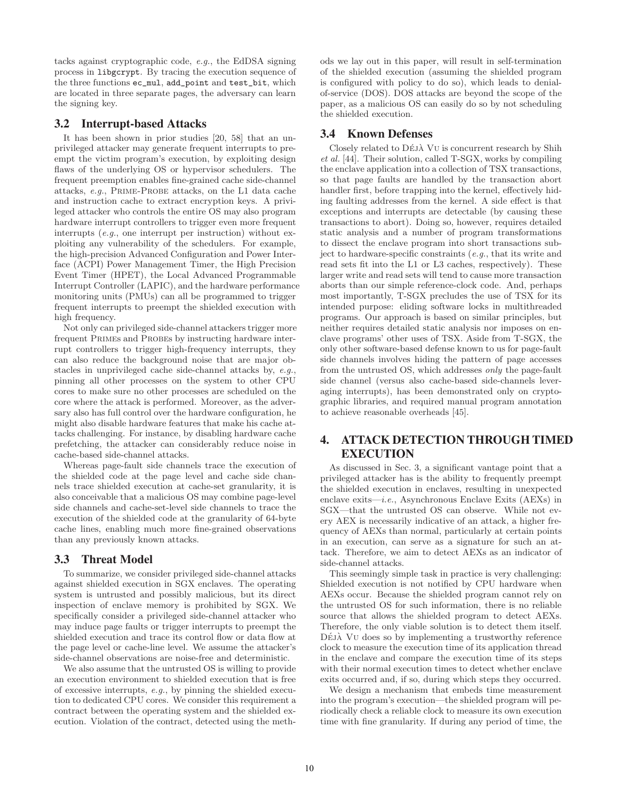tacks against cryptographic code, e.g., the EdDSA signing process in libgcrypt. By tracing the execution sequence of the three functions ec\_mul, add\_point and test\_bit, which are located in three separate pages, the adversary can learn the signing key.

#### 3.2 Interrupt-based Attacks

It has been shown in prior studies [20, 58] that an unprivileged attacker may generate frequent interrupts to preempt the victim program's execution, by exploiting design flaws of the underlying OS or hypervisor schedulers. The frequent preemption enables fine-grained cache side-channel attacks, e.g., Prime-Probe attacks, on the L1 data cache and instruction cache to extract encryption keys. A privileged attacker who controls the entire OS may also program hardware interrupt controllers to trigger even more frequent interrupts (e.g., one interrupt per instruction) without exploiting any vulnerability of the schedulers. For example, the high-precision Advanced Configuration and Power Interface (ACPI) Power Management Timer, the High Precision Event Timer (HPET), the Local Advanced Programmable Interrupt Controller (LAPIC), and the hardware performance monitoring units (PMUs) can all be programmed to trigger frequent interrupts to preempt the shielded execution with high frequency.

Not only can privileged side-channel attackers trigger more frequent Primes and Probes by instructing hardware interrupt controllers to trigger high-frequency interrupts, they can also reduce the background noise that are major obstacles in unprivileged cache side-channel attacks by, e.g., pinning all other processes on the system to other CPU cores to make sure no other processes are scheduled on the core where the attack is performed. Moreover, as the adversary also has full control over the hardware configuration, he might also disable hardware features that make his cache attacks challenging. For instance, by disabling hardware cache prefetching, the attacker can considerably reduce noise in cache-based side-channel attacks.

Whereas page-fault side channels trace the execution of the shielded code at the page level and cache side channels trace shielded execution at cache-set granularity, it is also conceivable that a malicious OS may combine page-level side channels and cache-set-level side channels to trace the execution of the shielded code at the granularity of 64-byte cache lines, enabling much more fine-grained observations than any previously known attacks.

## 3.3 Threat Model

To summarize, we consider privileged side-channel attacks against shielded execution in SGX enclaves. The operating system is untrusted and possibly malicious, but its direct inspection of enclave memory is prohibited by SGX. We specifically consider a privileged side-channel attacker who may induce page faults or trigger interrupts to preempt the shielded execution and trace its control flow or data flow at the page level or cache-line level. We assume the attacker's side-channel observations are noise-free and deterministic.

We also assume that the untrusted OS is willing to provide an execution environment to shielded execution that is free of excessive interrupts, e.g., by pinning the shielded execution to dedicated CPU cores. We consider this requirement a contract between the operating system and the shielded execution. Violation of the contract, detected using the methods we lay out in this paper, will result in self-termination of the shielded execution (assuming the shielded program is configured with policy to do so), which leads to denialof-service (DOS). DOS attacks are beyond the scope of the paper, as a malicious OS can easily do so by not scheduling the shielded execution.

#### 3.4 Known Defenses

Closely related to DÉJÀ VU is concurrent research by Shih et al. [44]. Their solution, called T-SGX, works by compiling the enclave application into a collection of TSX transactions, so that page faults are handled by the transaction abort handler first, before trapping into the kernel, effectively hiding faulting addresses from the kernel. A side effect is that exceptions and interrupts are detectable (by causing these transactions to abort). Doing so, however, requires detailed static analysis and a number of program transformations to dissect the enclave program into short transactions subject to hardware-specific constraints (e.g., that its write and read sets fit into the L1 or L3 caches, respectively). These larger write and read sets will tend to cause more transaction aborts than our simple reference-clock code. And, perhaps most importantly, T-SGX precludes the use of TSX for its intended purpose: eliding software locks in multithreaded programs. Our approach is based on similar principles, but neither requires detailed static analysis nor imposes on enclave programs' other uses of TSX. Aside from T-SGX, the only other software-based defense known to us for page-fault side channels involves hiding the pattern of page accesses from the untrusted OS, which addresses only the page-fault side channel (versus also cache-based side-channels leveraging interrupts), has been demonstrated only on cryptographic libraries, and required manual program annotation to achieve reasonable overheads [45].

## 4. ATTACK DETECTION THROUGH TIMED **EXECUTION**

As discussed in Sec. 3, a significant vantage point that a privileged attacker has is the ability to frequently preempt the shielded execution in enclaves, resulting in unexpected enclave exits—i.e., Asynchronous Enclave Exits (AEXs) in SGX—that the untrusted OS can observe. While not every AEX is necessarily indicative of an attack, a higher frequency of AEXs than normal, particularly at certain points in an execution, can serve as a signature for such an attack. Therefore, we aim to detect AEXs as an indicator of side-channel attacks.

This seemingly simple task in practice is very challenging: Shielded execution is not notified by CPU hardware when AEXs occur. Because the shielded program cannot rely on the untrusted OS for such information, there is no reliable source that allows the shielded program to detect AEXs. Therefore, the only viable solution is to detect them itself. DÉJÀ VU does so by implementing a trustworthy reference clock to measure the execution time of its application thread in the enclave and compare the execution time of its steps with their normal execution times to detect whether enclave exits occurred and, if so, during which steps they occurred.

We design a mechanism that embeds time measurement into the program's execution—the shielded program will periodically check a reliable clock to measure its own execution time with fine granularity. If during any period of time, the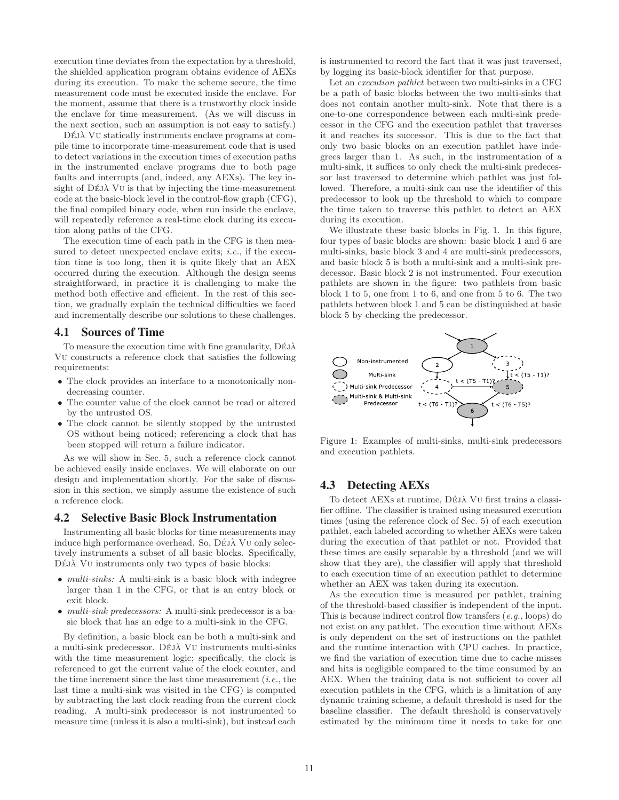execution time deviates from the expectation by a threshold, the shielded application program obtains evidence of AEXs during its execution. To make the scheme secure, the time measurement code must be executed inside the enclave. For the moment, assume that there is a trustworthy clock inside the enclave for time measurement. (As we will discuss in the next section, such an assumption is not easy to satisfy.)

Déjà Vu statically instruments enclave programs at compile time to incorporate time-measurement code that is used to detect variations in the execution times of execution paths in the instrumented enclave programs due to both page faults and interrupts (and, indeed, any AEXs). The key insight of DÉJÀ VU is that by injecting the time-measurement code at the basic-block level in the control-flow graph (CFG), the final compiled binary code, when run inside the enclave, will repeatedly reference a real-time clock during its execution along paths of the CFG.

The execution time of each path in the CFG is then measured to detect unexpected enclave exits; *i.e.*, if the execution time is too long, then it is quite likely that an AEX occurred during the execution. Although the design seems straightforward, in practice it is challenging to make the method both effective and efficient. In the rest of this section, we gradually explain the technical difficulties we faced and incrementally describe our solutions to these challenges.

#### 4.1 Sources of Time

To measure the execution time with fine granularity,  $D\hat{E}j\hat{A}$ Vu constructs a reference clock that satisfies the following requirements:

- The clock provides an interface to a monotonically nondecreasing counter.
- The counter value of the clock cannot be read or altered by the untrusted OS.
- The clock cannot be silently stopped by the untrusted OS without being noticed; referencing a clock that has been stopped will return a failure indicator.

As we will show in Sec. 5, such a reference clock cannot be achieved easily inside enclaves. We will elaborate on our design and implementation shortly. For the sake of discussion in this section, we simply assume the existence of such a reference clock.

#### 4.2 Selective Basic Block Instrumentation

Instrumenting all basic blocks for time measurements may induce high performance overhead. So, DÉJÀ VU only selectively instruments a subset of all basic blocks. Specifically, DÉJÀ VU instruments only two types of basic blocks:

- multi-sinks: A multi-sink is a basic block with indegree larger than 1 in the CFG, or that is an entry block or exit block.
- *multi-sink predecessors:* A multi-sink predecessor is a basic block that has an edge to a multi-sink in the CFG.

By definition, a basic block can be both a multi-sink and a multi-sink predecessor. DÉJÀ VU instruments multi-sinks with the time measurement logic; specifically, the clock is referenced to get the current value of the clock counter, and the time increment since the last time measurement  $(i.e.,$  the last time a multi-sink was visited in the CFG) is computed by subtracting the last clock reading from the current clock reading. A multi-sink predecessor is not instrumented to measure time (unless it is also a multi-sink), but instead each

is instrumented to record the fact that it was just traversed, by logging its basic-block identifier for that purpose.

Let an execution pathlet between two multi-sinks in a CFG be a path of basic blocks between the two multi-sinks that does not contain another multi-sink. Note that there is a one-to-one correspondence between each multi-sink predecessor in the CFG and the execution pathlet that traverses it and reaches its successor. This is due to the fact that only two basic blocks on an execution pathlet have indegrees larger than 1. As such, in the instrumentation of a multi-sink, it suffices to only check the multi-sink predecessor last traversed to determine which pathlet was just followed. Therefore, a multi-sink can use the identifier of this predecessor to look up the threshold to which to compare the time taken to traverse this pathlet to detect an AEX during its execution.

We illustrate these basic blocks in Fig. 1. In this figure, four types of basic blocks are shown: basic block 1 and 6 are multi-sinks, basic block 3 and 4 are multi-sink predecessors, and basic block 5 is both a multi-sink and a multi-sink predecessor. Basic block 2 is not instrumented. Four execution pathlets are shown in the figure: two pathlets from basic block 1 to 5, one from 1 to 6, and one from 5 to 6. The two pathlets between block 1 and 5 can be distinguished at basic block 5 by checking the predecessor.



Figure 1: Examples of multi-sinks, multi-sink predecessors and execution pathlets.

## 4.3 Detecting AEXs

To detect AEXs at runtime, DÉJÀ VU first trains a classifier offline. The classifier is trained using measured execution times (using the reference clock of Sec. 5) of each execution pathlet, each labeled according to whether AEXs were taken during the execution of that pathlet or not. Provided that these times are easily separable by a threshold (and we will show that they are), the classifier will apply that threshold to each execution time of an execution pathlet to determine whether an AEX was taken during its execution.

As the execution time is measured per pathlet, training of the threshold-based classifier is independent of the input. This is because indirect control flow transfers  $(e,q., \text{loops})$  do not exist on any pathlet. The execution time without AEXs is only dependent on the set of instructions on the pathlet and the runtime interaction with CPU caches. In practice, we find the variation of execution time due to cache misses and hits is negligible compared to the time consumed by an AEX. When the training data is not sufficient to cover all execution pathlets in the CFG, which is a limitation of any dynamic training scheme, a default threshold is used for the baseline classifier. The default threshold is conservatively estimated by the minimum time it needs to take for one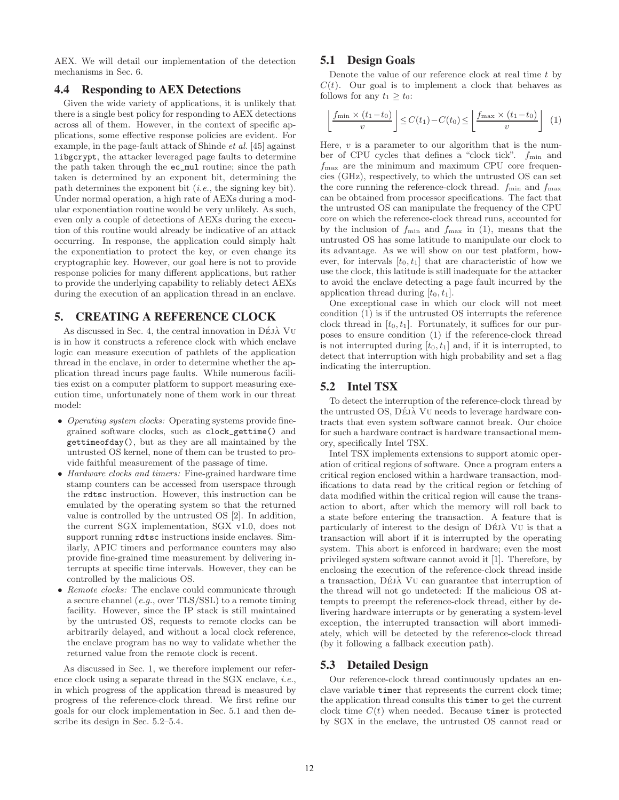AEX. We will detail our implementation of the detection mechanisms in Sec. 6.

#### 4.4 Responding to AEX Detections

Given the wide variety of applications, it is unlikely that there is a single best policy for responding to AEX detections across all of them. However, in the context of specific applications, some effective response policies are evident. For example, in the page-fault attack of Shinde et al. [45] against libgcrypt, the attacker leveraged page faults to determine the path taken through the ec\_mul routine; since the path taken is determined by an exponent bit, determining the path determines the exponent bit  $(i.e.,$  the signing key bit). Under normal operation, a high rate of AEXs during a modular exponentiation routine would be very unlikely. As such, even only a couple of detections of AEXs during the execution of this routine would already be indicative of an attack occurring. In response, the application could simply halt the exponentiation to protect the key, or even change its cryptographic key. However, our goal here is not to provide response policies for many different applications, but rather to provide the underlying capability to reliably detect AEXs during the execution of an application thread in an enclave.

## 5. CREATING A REFERENCE CLOCK

As discussed in Sec. 4, the central innovation in  $D\hat{E}$  Vu is in how it constructs a reference clock with which enclave logic can measure execution of pathlets of the application thread in the enclave, in order to determine whether the application thread incurs page faults. While numerous facilities exist on a computer platform to support measuring execution time, unfortunately none of them work in our threat model:

- Operating system clocks: Operating systems provide finegrained software clocks, such as clock\_gettime() and gettimeofday(), but as they are all maintained by the untrusted OS kernel, none of them can be trusted to provide faithful measurement of the passage of time.
- Hardware clocks and timers: Fine-grained hardware time stamp counters can be accessed from userspace through the rdtsc instruction. However, this instruction can be emulated by the operating system so that the returned value is controlled by the untrusted OS [2]. In addition, the current SGX implementation, SGX v1.0, does not support running rdtsc instructions inside enclaves. Similarly, APIC timers and performance counters may also provide fine-grained time measurement by delivering interrupts at specific time intervals. However, they can be controlled by the malicious OS.
- Remote clocks: The enclave could communicate through a secure channel (e.g., over TLS/SSL) to a remote timing facility. However, since the IP stack is still maintained by the untrusted OS, requests to remote clocks can be arbitrarily delayed, and without a local clock reference, the enclave program has no way to validate whether the returned value from the remote clock is recent.

As discussed in Sec. 1, we therefore implement our reference clock using a separate thread in the SGX enclave, *i.e.*, in which progress of the application thread is measured by progress of the reference-clock thread. We first refine our goals for our clock implementation in Sec. 5.1 and then describe its design in Sec. 5.2–5.4.

## 5.1 Design Goals

Denote the value of our reference clock at real time  $t$  by  $C(t)$ . Our goal is to implement a clock that behaves as follows for any  $t_1 \geq t_0$ :

$$
\left\lfloor \frac{f_{\min} \times (t_1 - t_0)}{v} \right\rfloor \le C(t_1) - C(t_0) \le \left\lfloor \frac{f_{\max} \times (t_1 - t_0)}{v} \right\rfloor \tag{1}
$$

Here,  $v$  is a parameter to our algorithm that is the number of CPU cycles that defines a "clock tick".  $f_{\min}$  and  $f_{\text{max}}$  are the minimum and maximum CPU core frequencies (GHz), respectively, to which the untrusted OS can set the core running the reference-clock thread.  $f_{\text{min}}$  and  $f_{\text{max}}$ can be obtained from processor specifications. The fact that the untrusted OS can manipulate the frequency of the CPU core on which the reference-clock thread runs, accounted for by the inclusion of  $f_{\text{min}}$  and  $f_{\text{max}}$  in (1), means that the untrusted OS has some latitude to manipulate our clock to its advantage. As we will show on our test platform, however, for intervals  $[t_0, t_1]$  that are characteristic of how we use the clock, this latitude is still inadequate for the attacker to avoid the enclave detecting a page fault incurred by the application thread during  $[t_0, t_1]$ .

One exceptional case in which our clock will not meet condition (1) is if the untrusted OS interrupts the reference clock thread in  $[t_0, t_1]$ . Fortunately, it suffices for our purposes to ensure condition (1) if the reference-clock thread is not interrupted during  $[t_0, t_1]$  and, if it is interrupted, to detect that interruption with high probability and set a flag indicating the interruption.

#### 5.2 Intel TSX

To detect the interruption of the reference-clock thread by the untrusted OS, DÉJÀ VU needs to leverage hardware contracts that even system software cannot break. Our choice for such a hardware contract is hardware transactional memory, specifically Intel TSX.

Intel TSX implements extensions to support atomic operation of critical regions of software. Once a program enters a critical region enclosed within a hardware transaction, modifications to data read by the critical region or fetching of data modified within the critical region will cause the transaction to abort, after which the memory will roll back to a state before entering the transaction. A feature that is particularly of interest to the design of DÉJÀ VU is that a transaction will abort if it is interrupted by the operating system. This abort is enforced in hardware; even the most privileged system software cannot avoid it [1]. Therefore, by enclosing the execution of the reference-clock thread inside a transaction, Déjà Vu can guarantee that interruption of the thread will not go undetected: If the malicious OS attempts to preempt the reference-clock thread, either by delivering hardware interrupts or by generating a system-level exception, the interrupted transaction will abort immediately, which will be detected by the reference-clock thread (by it following a fallback execution path).

#### 5.3 Detailed Design

Our reference-clock thread continuously updates an enclave variable timer that represents the current clock time; the application thread consults this timer to get the current clock time  $C(t)$  when needed. Because timer is protected by SGX in the enclave, the untrusted OS cannot read or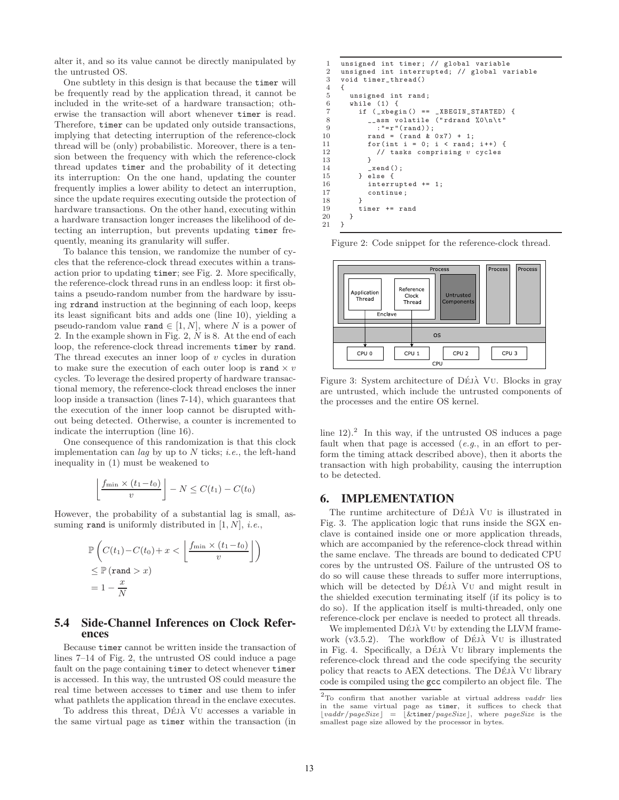alter it, and so its value cannot be directly manipulated by the untrusted OS.

One subtlety in this design is that because the timer will be frequently read by the application thread, it cannot be included in the write-set of a hardware transaction; otherwise the transaction will abort whenever timer is read. Therefore, timer can be updated only outside transactions, implying that detecting interruption of the reference-clock thread will be (only) probabilistic. Moreover, there is a tension between the frequency with which the reference-clock thread updates timer and the probability of it detecting its interruption: On the one hand, updating the counter frequently implies a lower ability to detect an interruption, since the update requires executing outside the protection of hardware transactions. On the other hand, executing within a hardware transaction longer increases the likelihood of detecting an interruption, but prevents updating timer frequently, meaning its granularity will suffer.

To balance this tension, we randomize the number of cycles that the reference-clock thread executes within a transaction prior to updating timer; see Fig. 2. More specifically, the reference-clock thread runs in an endless loop: it first obtains a pseudo-random number from the hardware by issuing rdrand instruction at the beginning of each loop, keeps its least significant bits and adds one (line 10), yielding a pseudo-random value rand  $\in [1, N]$ , where N is a power of 2. In the example shown in Fig. 2, N is 8. At the end of each loop, the reference-clock thread increments timer by rand. The thread executes an inner loop of  $v$  cycles in duration to make sure the execution of each outer loop is rand  $\times v$ cycles. To leverage the desired property of hardware transactional memory, the reference-clock thread encloses the inner loop inside a transaction (lines 7-14), which guarantees that the execution of the inner loop cannot be disrupted without being detected. Otherwise, a counter is incremented to indicate the interruption (line 16).

One consequence of this randomization is that this clock implementation can *lag* by up to N ticks; *i.e.*, the left-hand inequality in (1) must be weakened to

$$
\left\lfloor \frac{f_{\min} \times (t_1 - t_0)}{v} \right\rfloor - N \le C(t_1) - C(t_0)
$$

However, the probability of a substantial lag is small, assuming rand is uniformly distributed in  $[1, N]$ , *i.e.*,

$$
\mathbb{P}\left(C(t_1) - C(t_0) + x < \left\lfloor \frac{f_{\min} \times (t_1 - t_0)}{v} \right\rfloor\right)
$$
\n
$$
\leq \mathbb{P}(\text{rand} > x)
$$
\n
$$
= 1 - \frac{x}{N}
$$

## 5.4 Side-Channel Inferences on Clock References

Because timer cannot be written inside the transaction of lines 7–14 of Fig. 2, the untrusted OS could induce a page fault on the page containing timer to detect whenever timer is accessed. In this way, the untrusted OS could measure the real time between accesses to timer and use them to infer what pathlets the application thread in the enclave executes.

To address this threat, DÉJÀ VU accesses a variable in the same virtual page as timer within the transaction (in

```
1 unsigned int timer; // global variable<br>2 unsigned int interrupted: // global wa
  2 unsigned int interrupted; // global variable
  3 void timer_thread()
  \begin{matrix} 4 & 6 \\ 5 & 6 \end{matrix}5 unsigned int rand;<br>6 while (1) {
  6 while (1) {<br>7 if (\underline{\hspace{1cm}} x \underline{\hspace{1cm}} \underline{\hspace{1cm}} \underline{\hspace{1cm}} f) ==
                                                 _XBEGIN_STARTED) {
  8 \qquad \qquad -\text{asm} \text{ volatile} ("rdrand %0\n\t")<br>9 : "=r"(rand)):
9 : "=r"(\text{rand});<br>10 \text{rand} = (\text{rand } \&10 rand = (r \text{ and } k \text{ 0x7}) + 1;<br>11 for (int i = 0; i < rand):
11 for (int i = 0; i < rand; i++) {<br>12 // tasks comprising v cycles
                    // tasks comprising v cycles }
13 }
14 _xend();<br>15 } else {
15 } else {<br>16 } interr
16 interrupted += 1;<br>17 continue:
                    continue :
\frac{18}{19}timer += rand }
\begin{matrix} 20 \\ 21 \end{matrix}21 }
```
Figure 2: Code snippet for the reference-clock thread.



Figure 3: System architecture of DÉJÀ VU. Blocks in gray are untrusted, which include the untrusted components of the processes and the entire OS kernel.

line  $12$ ).<sup>2</sup> In this way, if the untrusted OS induces a page fault when that page is accessed  $(e.g.,)$  in an effort to perform the timing attack described above), then it aborts the transaction with high probability, causing the interruption to be detected.

## 6. IMPLEMENTATION

The runtime architecture of DÉJÀ VU is illustrated in Fig. 3. The application logic that runs inside the SGX enclave is contained inside one or more application threads, which are accompanied by the reference-clock thread within the same enclave. The threads are bound to dedicated CPU cores by the untrusted OS. Failure of the untrusted OS to do so will cause these threads to suffer more interruptions, which will be detected by DÉJÀ VU and might result in the shielded execution terminating itself (if its policy is to do so). If the application itself is multi-threaded, only one reference-clock per enclave is needed to protect all threads.

We implemented DÉJÀ VU by extending the LLVM framework  $(v3.5.2)$ . The workflow of D $\acute{e}$ ja Vu is illustrated in Fig. 4. Specifically, a DÉJÀ VU library implements the reference-clock thread and the code specifying the security policy that reacts to AEX detections. The DÉJÀ VU library code is compiled using the gcc compilerto an object file. The

<sup>2</sup>To confirm that another variable at virtual address *vaddr* lies in the same virtual page as timer, it suffices to check that ⌊*vaddr*/*pageSize*⌋ = ⌊&timer/*pageSize*⌋, where *pageSize* is the smallest page size allowed by the processor in bytes.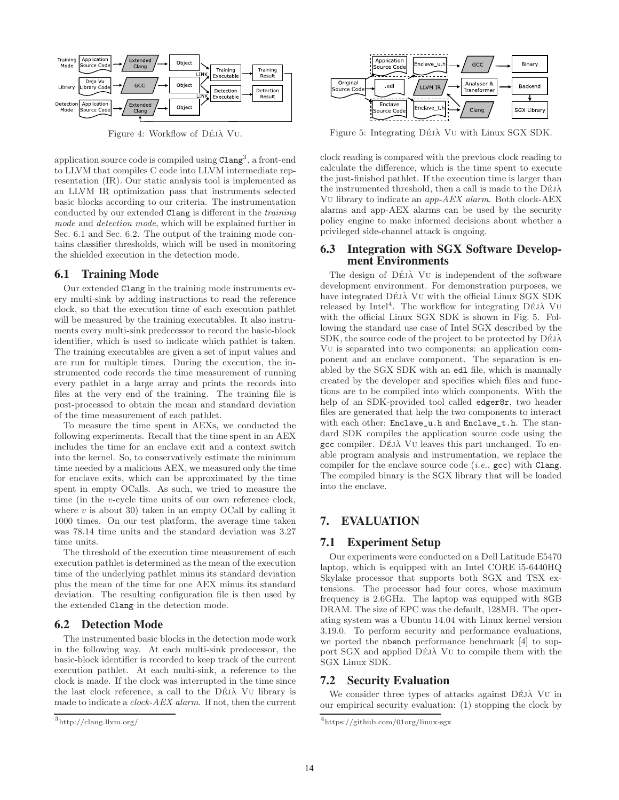

Figure 4: Workflow of DÉJÀ VU.

application source code is compiled using  $Clang<sup>3</sup>$ , a front-end to LLVM that compiles C code into LLVM intermediate representation (IR). Our static analysis tool is implemented as an LLVM IR optimization pass that instruments selected basic blocks according to our criteria. The instrumentation conducted by our extended Clang is different in the training mode and detection mode, which will be explained further in Sec. 6.1 and Sec. 6.2. The output of the training mode contains classifier thresholds, which will be used in monitoring the shielded execution in the detection mode.

## 6.1 Training Mode

Our extended Clang in the training mode instruments every multi-sink by adding instructions to read the reference clock, so that the execution time of each execution pathlet will be measured by the training executables. It also instruments every multi-sink predecessor to record the basic-block identifier, which is used to indicate which pathlet is taken. The training executables are given a set of input values and are run for multiple times. During the execution, the instrumented code records the time measurement of running every pathlet in a large array and prints the records into files at the very end of the training. The training file is post-processed to obtain the mean and standard deviation of the time measurement of each pathlet.

To measure the time spent in AEXs, we conducted the following experiments. Recall that the time spent in an AEX includes the time for an enclave exit and a context switch into the kernel. So, to conservatively estimate the minimum time needed by a malicious AEX, we measured only the time for enclave exits, which can be approximated by the time spent in empty OCalls. As such, we tried to measure the time (in the v-cycle time units of our own reference clock, where  $v$  is about 30) taken in an empty OCall by calling it 1000 times. On our test platform, the average time taken was 78.14 time units and the standard deviation was 3.27 time units.

The threshold of the execution time measurement of each execution pathlet is determined as the mean of the execution time of the underlying pathlet minus its standard deviation plus the mean of the time for one AEX minus its standard deviation. The resulting configuration file is then used by the extended Clang in the detection mode.

#### 6.2 Detection Mode

The instrumented basic blocks in the detection mode work in the following way. At each multi-sink predecessor, the basic-block identifier is recorded to keep track of the current execution pathlet. At each multi-sink, a reference to the clock is made. If the clock was interrupted in the time since the last clock reference, a call to the DÉJA VU library is made to indicate a *clock-AEX alarm*. If not, then the current



Figure 5: Integrating DÉJÀ VU with Linux SGX SDK.

clock reading is compared with the previous clock reading to calculate the difference, which is the time spent to execute the just-finished pathlet. If the execution time is larger than the instrumented threshold, then a call is made to the DÉJÀ Vu library to indicate an app-AEX alarm. Both clock-AEX alarms and app-AEX alarms can be used by the security policy engine to make informed decisions about whether a privileged side-channel attack is ongoing.

## 6.3 Integration with SGX Software Development Environments

The design of DÉJÀ VU is independent of the software development environment. For demonstration purposes, we have integrated DÉJÀ VU with the official Linux SGX SDK released by Intel<sup>4</sup>. The workflow for integrating DÉJÀ VU with the official Linux SGX SDK is shown in Fig. 5. Following the standard use case of Intel SGX described by the SDK, the source code of the project to be protected by DÉJA Vu is separated into two components: an application component and an enclave component. The separation is enabled by the SGX SDK with an edl file, which is manually created by the developer and specifies which files and functions are to be compiled into which components. With the help of an SDK-provided tool called edger8r, two header files are generated that help the two components to interact with each other: Enclave\_u.h and Enclave\_t.h. The standard SDK compiles the application source code using the gcc compiler. DÉJÀ VU leaves this part unchanged. To enable program analysis and instrumentation, we replace the compiler for the enclave source code (i.e., gcc) with Clang. The compiled binary is the SGX library that will be loaded into the enclave.

## 7. EVALUATION

#### 7.1 Experiment Setup

Our experiments were conducted on a Dell Latitude E5470 laptop, which is equipped with an Intel CORE i5-6440HQ Skylake processor that supports both SGX and TSX extensions. The processor had four cores, whose maximum frequency is 2.6GHz. The laptop was equipped with 8GB DRAM. The size of EPC was the default, 128MB. The operating system was a Ubuntu 14.04 with Linux kernel version 3.19.0. To perform security and performance evaluations, we ported the nbench performance benchmark [4] to support SGX and applied DÉJÀ VU to compile them with the SGX Linux SDK.

#### 7.2 Security Evaluation

We consider three types of attacks against DÉJÀ VU in our empirical security evaluation: (1) stopping the clock by

<sup>3</sup> http://clang.llvm.org/

<sup>4</sup> https://github.com/01org/linux-sgx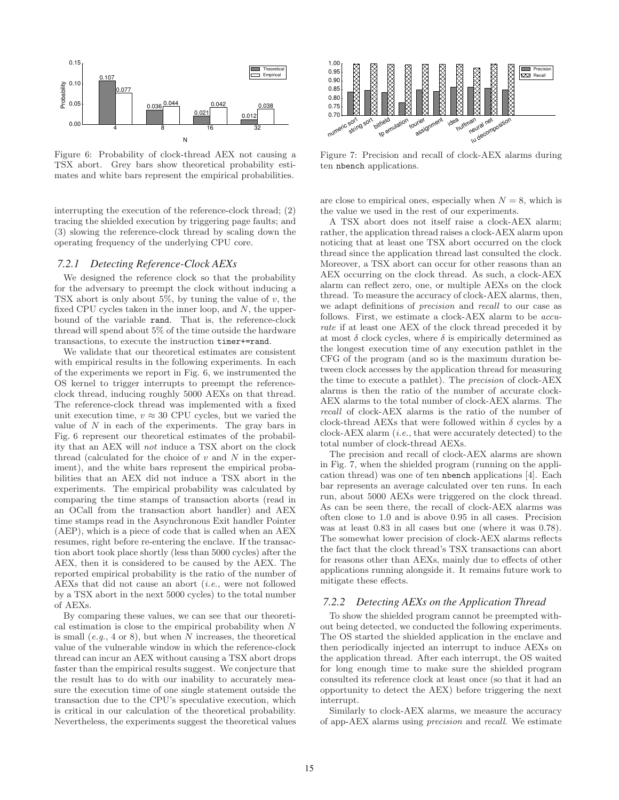

Figure 6: Probability of clock-thread AEX not causing a TSX abort. Grey bars show theoretical probability estimates and white bars represent the empirical probabilities.

interrupting the execution of the reference-clock thread; (2) tracing the shielded execution by triggering page faults; and (3) slowing the reference-clock thread by scaling down the operating frequency of the underlying CPU core.

#### *7.2.1 Detecting Reference-Clock AEXs*

We designed the reference clock so that the probability for the adversary to preempt the clock without inducing a TSX abort is only about 5%, by tuning the value of  $v$ , the fixed CPU cycles taken in the inner loop, and  $N$ , the upperbound of the variable rand. That is, the reference-clock thread will spend about 5% of the time outside the hardware transactions, to execute the instruction timer+=rand.

We validate that our theoretical estimates are consistent with empirical results in the following experiments. In each of the experiments we report in Fig. 6, we instrumented the OS kernel to trigger interrupts to preempt the referenceclock thread, inducing roughly 5000 AEXs on that thread. The reference-clock thread was implemented with a fixed unit execution time,  $v \approx 30$  CPU cycles, but we varied the value of  $N$  in each of the experiments. The gray bars in Fig. 6 represent our theoretical estimates of the probability that an AEX will not induce a TSX abort on the clock thread (calculated for the choice of  $v$  and  $N$  in the experiment), and the white bars represent the empirical probabilities that an AEX did not induce a TSX abort in the experiments. The empirical probability was calculated by comparing the time stamps of transaction aborts (read in an OCall from the transaction abort handler) and AEX time stamps read in the Asynchronous Exit handler Pointer (AEP), which is a piece of code that is called when an AEX resumes, right before re-entering the enclave. If the transaction abort took place shortly (less than 5000 cycles) after the AEX, then it is considered to be caused by the AEX. The reported empirical probability is the ratio of the number of AEXs that did not cause an abort (i.e., were not followed by a TSX abort in the next 5000 cycles) to the total number of AEXs.

By comparing these values, we can see that our theoretical estimation is close to the empirical probability when N is small  $(e,q, 4 \text{ or } 8)$ , but when N increases, the theoretical value of the vulnerable window in which the reference-clock thread can incur an AEX without causing a TSX abort drops faster than the empirical results suggest. We conjecture that the result has to do with our inability to accurately measure the execution time of one single statement outside the transaction due to the CPU's speculative execution, which is critical in our calculation of the theoretical probability. Nevertheless, the experiments suggest the theoretical values



Figure 7: Precision and recall of clock-AEX alarms during ten nbench applications.

are close to empirical ones, especially when  $N = 8$ , which is the value we used in the rest of our experiments.

A TSX abort does not itself raise a clock-AEX alarm; rather, the application thread raises a clock-AEX alarm upon noticing that at least one TSX abort occurred on the clock thread since the application thread last consulted the clock. Moreover, a TSX abort can occur for other reasons than an AEX occurring on the clock thread. As such, a clock-AEX alarm can reflect zero, one, or multiple AEXs on the clock thread. To measure the accuracy of clock-AEX alarms, then, we adapt definitions of precision and recall to our case as follows. First, we estimate a clock-AEX alarm to be *accu*rate if at least one AEX of the clock thread preceded it by at most  $\delta$  clock cycles, where  $\delta$  is empirically determined as the longest execution time of any execution pathlet in the CFG of the program (and so is the maximum duration between clock accesses by the application thread for measuring the time to execute a pathlet). The precision of clock-AEX alarms is then the ratio of the number of accurate clock-AEX alarms to the total number of clock-AEX alarms. The recall of clock-AEX alarms is the ratio of the number of clock-thread AEXs that were followed within  $\delta$  cycles by a  $clock-AEX$  alarm  $(i.e., that were accurately detected) to the$ total number of clock-thread AEXs.

The precision and recall of clock-AEX alarms are shown in Fig. 7, when the shielded program (running on the application thread) was one of ten nbench applications [4]. Each bar represents an average calculated over ten runs. In each run, about 5000 AEXs were triggered on the clock thread. As can be seen there, the recall of clock-AEX alarms was often close to 1.0 and is above 0.95 in all cases. Precision was at least 0.83 in all cases but one (where it was 0.78). The somewhat lower precision of clock-AEX alarms reflects the fact that the clock thread's TSX transactions can abort for reasons other than AEXs, mainly due to effects of other applications running alongside it. It remains future work to mitigate these effects.

## *7.2.2 Detecting AEXs on the Application Thread*

To show the shielded program cannot be preempted without being detected, we conducted the following experiments. The OS started the shielded application in the enclave and then periodically injected an interrupt to induce AEXs on the application thread. After each interrupt, the OS waited for long enough time to make sure the shielded program consulted its reference clock at least once (so that it had an opportunity to detect the AEX) before triggering the next interrupt.

Similarly to clock-AEX alarms, we measure the accuracy of app-AEX alarms using precision and recall. We estimate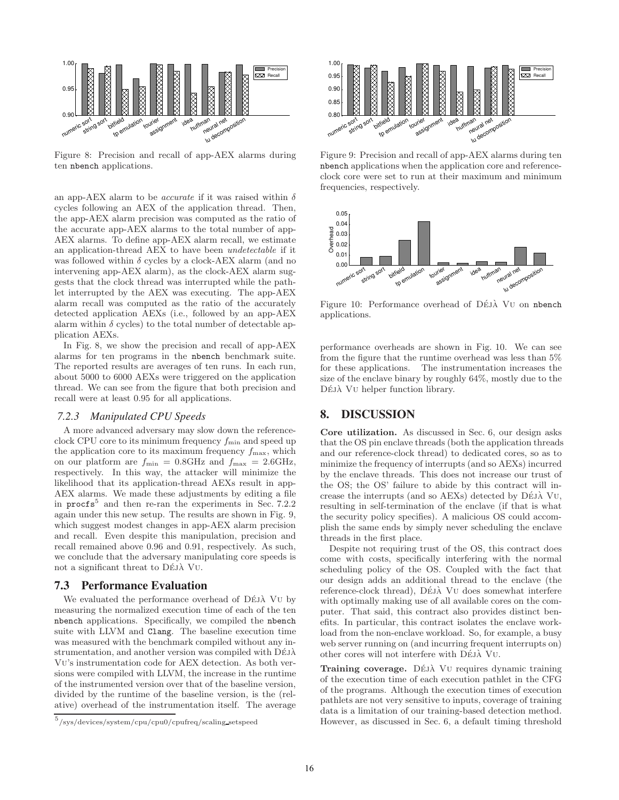

Figure 8: Precision and recall of app-AEX alarms during ten nbench applications.

an app-AEX alarm to be *accurate* if it was raised within  $\delta$ cycles following an AEX of the application thread. Then, the app-AEX alarm precision was computed as the ratio of the accurate app-AEX alarms to the total number of app-AEX alarms. To define app-AEX alarm recall, we estimate an application-thread AEX to have been undetectable if it was followed within  $\delta$  cycles by a clock-AEX alarm (and no intervening app-AEX alarm), as the clock-AEX alarm suggests that the clock thread was interrupted while the pathlet interrupted by the AEX was executing. The app-AEX alarm recall was computed as the ratio of the accurately detected application AEXs (i.e., followed by an app-AEX alarm within  $\delta$  cycles) to the total number of detectable application AEXs.

In Fig. 8, we show the precision and recall of app-AEX alarms for ten programs in the nbench benchmark suite. The reported results are averages of ten runs. In each run, about 5000 to 6000 AEXs were triggered on the application thread. We can see from the figure that both precision and recall were at least 0.95 for all applications.

#### *7.2.3 Manipulated CPU Speeds*

A more advanced adversary may slow down the referenceclock CPU core to its minimum frequency  $f_{\min}$  and speed up the application core to its maximum frequency  $f_{\text{max}}$ , which on our platform are  $f_{\text{min}} = 0.8 \text{GHz}$  and  $f_{\text{max}} = 2.6 \text{GHz}$ , respectively. In this way, the attacker will minimize the likelihood that its application-thread AEXs result in app-AEX alarms. We made these adjustments by editing a file in procfs<sup>5</sup> and then re-ran the experiments in Sec. 7.2.2 again under this new setup. The results are shown in Fig. 9, which suggest modest changes in app-AEX alarm precision and recall. Even despite this manipulation, precision and recall remained above 0.96 and 0.91, respectively. As such, we conclude that the adversary manipulating core speeds is not a significant threat to DÉJÀ VU.

#### 7.3 Performance Evaluation

We evaluated the performance overhead of DÉJÀ VU by measuring the normalized execution time of each of the ten nbench applications. Specifically, we compiled the nbench suite with LLVM and Clang. The baseline execution time was measured with the benchmark compiled without any instrumentation, and another version was compiled with D $\tilde{E}$ ja<sup>{2}</sup> Vu's instrumentation code for AEX detection. As both versions were compiled with LLVM, the increase in the runtime of the instrumented version over that of the baseline version, divided by the runtime of the baseline version, is the (relative) overhead of the instrumentation itself. The average



Figure 9: Precision and recall of app-AEX alarms during ten nbench applications when the application core and referenceclock core were set to run at their maximum and minimum frequencies, respectively.



Figure 10: Performance overhead of DÉJÀ VU on nbench applications.

performance overheads are shown in Fig. 10. We can see from the figure that the runtime overhead was less than 5% for these applications. The instrumentation increases the size of the enclave binary by roughly 64%, mostly due to the DÉJÀ VU helper function library.

# 8. DISCUSSION

Core utilization. As discussed in Sec. 6, our design asks that the OS pin enclave threads (both the application threads and our reference-clock thread) to dedicated cores, so as to minimize the frequency of interrupts (and so AEXs) incurred by the enclave threads. This does not increase our trust of the OS; the OS' failure to abide by this contract will increase the interrupts (and so  $AEXs$ ) detected by  $D\hat{E}i\lambda VU$ , resulting in self-termination of the enclave (if that is what the security policy specifies). A malicious OS could accomplish the same ends by simply never scheduling the enclave threads in the first place.

Despite not requiring trust of the OS, this contract does come with costs, specifically interfering with the normal scheduling policy of the OS. Coupled with the fact that our design adds an additional thread to the enclave (the reference-clock thread), DÉJÀ VU does somewhat interfere with optimally making use of all available cores on the computer. That said, this contract also provides distinct benefits. In particular, this contract isolates the enclave workload from the non-enclave workload. So, for example, a busy web server running on (and incurring frequent interrupts on) other cores will not interfere with  $D$ ÉJÀ VU.

Training coverage. Déjà Vu requires dynamic training of the execution time of each execution pathlet in the CFG of the programs. Although the execution times of execution pathlets are not very sensitive to inputs, coverage of training data is a limitation of our training-based detection method. However, as discussed in Sec. 6, a default timing threshold

<sup>5</sup> /sys/devices/system/cpu/cpu0/cpufreq/scaling setspeed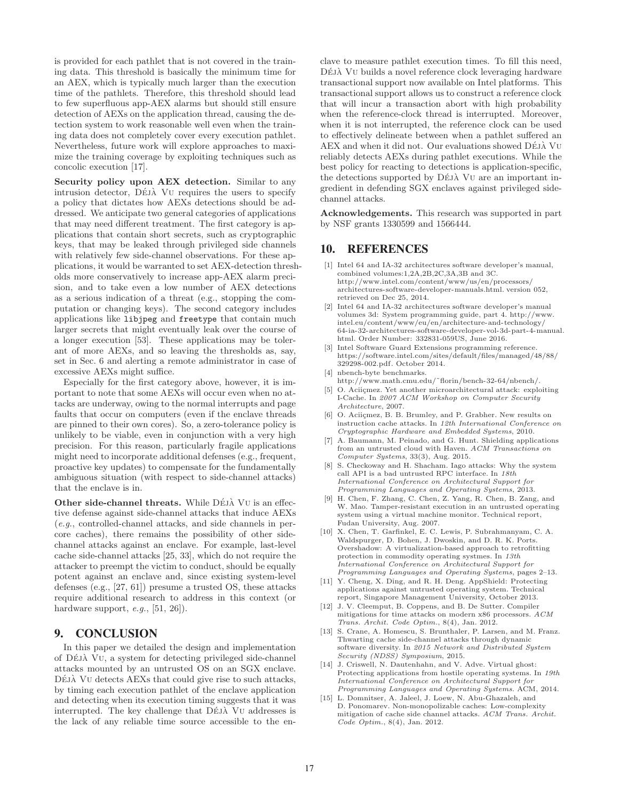is provided for each pathlet that is not covered in the training data. This threshold is basically the minimum time for an AEX, which is typically much larger than the execution time of the pathlets. Therefore, this threshold should lead to few superfluous app-AEX alarms but should still ensure detection of AEXs on the application thread, causing the detection system to work reasonable well even when the training data does not completely cover every execution pathlet. Nevertheless, future work will explore approaches to maximize the training coverage by exploiting techniques such as concolic execution [17].

Security policy upon AEX detection. Similar to any intrusion detector, Déjà Vu requires the users to specify a policy that dictates how AEXs detections should be addressed. We anticipate two general categories of applications that may need different treatment. The first category is applications that contain short secrets, such as cryptographic keys, that may be leaked through privileged side channels with relatively few side-channel observations. For these applications, it would be warranted to set AEX-detection thresholds more conservatively to increase app-AEX alarm precision, and to take even a low number of AEX detections as a serious indication of a threat (e.g., stopping the computation or changing keys). The second category includes applications like libjpeg and freetype that contain much larger secrets that might eventually leak over the course of a longer execution [53]. These applications may be tolerant of more AEXs, and so leaving the thresholds as, say, set in Sec. 6 and alerting a remote administrator in case of excessive AEXs might suffice.

Especially for the first category above, however, it is important to note that some AEXs will occur even when no attacks are underway, owing to the normal interrupts and page faults that occur on computers (even if the enclave threads are pinned to their own cores). So, a zero-tolerance policy is unlikely to be viable, even in conjunction with a very high precision. For this reason, particularly fragile applications might need to incorporate additional defenses (e.g., frequent, proactive key updates) to compensate for the fundamentally ambiguous situation (with respect to side-channel attacks) that the enclave is in.

Other side-channel threats. While DÉJÀ VU is an effective defense against side-channel attacks that induce AEXs (e.g., controlled-channel attacks, and side channels in percore caches), there remains the possibility of other sidechannel attacks against an enclave. For example, last-level cache side-channel attacks [25, 33], which do not require the attacker to preempt the victim to conduct, should be equally potent against an enclave and, since existing system-level defenses (e.g., [27, 61]) presume a trusted OS, these attacks require additional research to address in this context (or hardware support,  $e.g., [51, 26]$ .

## 9. CONCLUSION

In this paper we detailed the design and implementation of DÉJÀ VU, a system for detecting privileged side-channel attacks mounted by an untrusted OS on an SGX enclave. DEJA VU detects AEXs that could give rise to such attacks, by timing each execution pathlet of the enclave application and detecting when its execution timing suggests that it was interrupted. The key challenge that DÉJA VU addresses is the lack of any reliable time source accessible to the enclave to measure pathlet execution times. To fill this need, DÉJÀ VU builds a novel reference clock leveraging hardware transactional support now available on Intel platforms. This transactional support allows us to construct a reference clock that will incur a transaction abort with high probability when the reference-clock thread is interrupted. Moreover, when it is not interrupted, the reference clock can be used to effectively delineate between when a pathlet suffered an AEX and when it did not. Our evaluations showed DÉJÀ VU reliably detects AEXs during pathlet executions. While the best policy for reacting to detections is application-specific, the detections supported by DÉJA VU are an important ingredient in defending SGX enclaves against privileged sidechannel attacks.

Acknowledgements. This research was supported in part by NSF grants 1330599 and 1566444.

## 10. REFERENCES

- [1] Intel 64 and IA-32 architectures software developer's manual, combined volumes:1,2A,2B,2C,3A,3B and 3C. http://www.intel.com/content/www/us/en/processors/ architectures-software-developer-manuals.html. version 052, retrieved on Dec 25, 2014.
- [2] Intel 64 and IA-32 architectures software developer's manual volumes 3d: System programming guide, part 4. http://www. intel.eu/content/www/eu/en/architecture-and-technology/ 64-ia-32-architectures-software-developer-vol-3d-part-4-manual. html. Order Number: 332831-059US, June 2016.
- [3] Intel Software Guard Extensions programming reference. https://software.intel.com/sites/default/files/managed/48/88/ 329298-002.pdf . October 2014.
- nbench-byte benchmarks. http://www.math.cmu.edu/˜florin/bench-32-64/nbench/.
- [5] O. Aciiçmez. Yet another microarchitectural attack: exploiting I-Cache. In *2007 ACM Workshop on Computer Security Architecture*, 2007.
- O. Aciiçmez, B. B. Brumley, and P. Grabher. New results on instruction cache attacks. In *12th International Conference on Cryptographic Hardware and Embedded Systems*, 2010.
- [7] A. Baumann, M. Peinado, and G. Hunt. Shielding applications from an untrusted cloud with Haven. *ACM Transactions on Computer Systems*, 33(3), Aug. 2015.
- [8] S. Checkoway and H. Shacham. Iago attacks: Why the system call API is a bad untrusted RPC interface. In *18th International Conference on Architectural Support for Programming Languages and Operating Systems*, 2013.
- [9] H. Chen, F. Zhang, C. Chen, Z. Yang, R. Chen, B. Zang, and W. Mao. Tamper-resistant execution in an untrusted operating system using a virtual machine monitor. Technical report, Fudan University, Aug. 2007.
- [10] X. Chen, T. Garfinkel, E. C. Lewis, P. Subrahmanyam, C. A. Waldspurger, D. Bohen, J. Dwoskin, and D. R. K. Ports. Overshadow: A virtualization-based approach to retrofitting protection in commodity operating systmes. In *13th International Conference on Architectural Support for Programming Languages and Operating Systems*, pages 2–13.
- [11] Y. Cheng, X. Ding, and R. H. Deng. AppShield: Protecting applications against untrusted operating system. Technical report, Singapore Management University, October 2013.
- [12] J. V. Cleemput, B. Coppens, and B. De Sutter. Compiler mitigations for time attacks on modern x86 processors. *ACM Trans. Archit. Code Optim.*, 8(4), Jan. 2012.
- [13] S. Crane, A. Homescu, S. Brunthaler, P. Larsen, and M. Franz. Thwarting cache side-channel attacks through dynamic software diversity. In *2015 Network and Distributed System Security (NDSS) Symposium*, 2015.
- [14] J. Criswell, N. Dautenhahn, and V. Adve. Virtual ghost: Protecting applications from hostile operating systems. In *19th International Conference on Architectural Support for Programming Languages and Operating Systems*. ACM, 2014.
- [15] L. Domnitser, A. Jaleel, J. Loew, N. Abu-Ghazaleh, and D. Ponomarev. Non-monopolizable caches: Low-complexity mitigation of cache side channel attacks. *ACM Trans. Archit. Code Optim.*, 8(4), Jan. 2012.